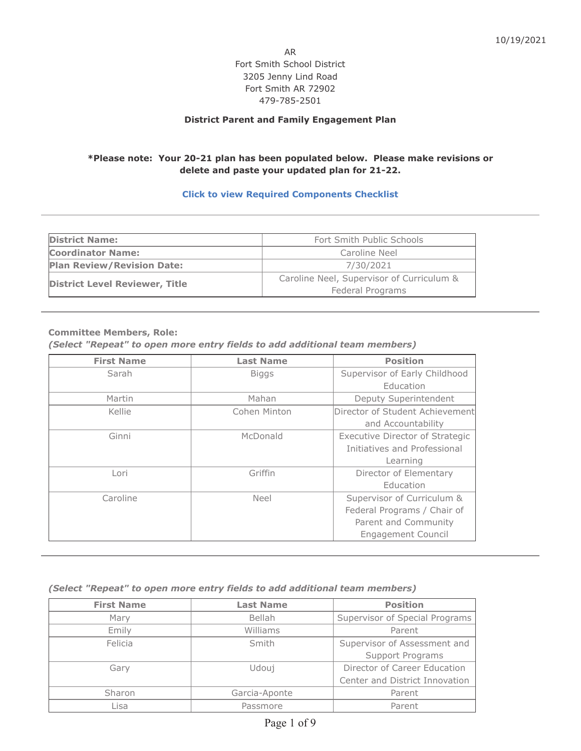AR Fort Smith School District 3205 Jenny Lind Road Fort Smith AR 72902 479-785-2501

### **District Parent and Family Engagement Plan**

## **\*Please note: Your 20-21 plan has been populated below. Please make revisions or delete and paste your updated plan for 21-22.**

### **Click to view Required Components Checklist**

| <b>District Name:</b>                 | Fort Smith Public Schools                 |  |
|---------------------------------------|-------------------------------------------|--|
| <b>Coordinator Name:</b>              | Caroline Neel                             |  |
| <b>Plan Review/Revision Date:</b>     | 7/30/2021                                 |  |
| <b>District Level Reviewer, Title</b> | Caroline Neel, Supervisor of Curriculum & |  |
|                                       | Federal Programs                          |  |

#### **Committee Members, Role:**

*(Select "Repeat" to open more entry fields to add additional team members)*

| <b>First Name</b> | <b>Last Name</b> | <b>Position</b>                        |
|-------------------|------------------|----------------------------------------|
| Sarah             | <b>Biggs</b>     | Supervisor of Early Childhood          |
|                   |                  | Education                              |
| Martin            | Mahan            | Deputy Superintendent                  |
| Kellie            | Cohen Minton     | Director of Student Achievement        |
|                   |                  | and Accountability                     |
| Ginni             | McDonald         | <b>Executive Director of Strategic</b> |
|                   |                  | Initiatives and Professional           |
|                   |                  | Learning                               |
| Lori              | Griffin          | Director of Elementary                 |
|                   |                  | Education                              |
| Caroline          | <b>Neel</b>      | Supervisor of Curriculum &             |
|                   |                  | Federal Programs / Chair of            |
|                   |                  | Parent and Community                   |
|                   |                  | <b>Engagement Council</b>              |

### *(Select "Repeat" to open more entry fields to add additional team members)*

| <b>First Name</b> | <b>Last Name</b> | <b>Position</b>                |
|-------------------|------------------|--------------------------------|
| Mary              | Bellah           | Supervisor of Special Programs |
| Emily             | Williams         | Parent                         |
| Felicia           | Smith            | Supervisor of Assessment and   |
|                   |                  | Support Programs               |
| Gary              | Udouj            | Director of Career Education   |
|                   |                  | Center and District Innovation |
| <b>Sharon</b>     | Garcia-Aponte    | Parent                         |
| Lisa              | Passmore         | Parent                         |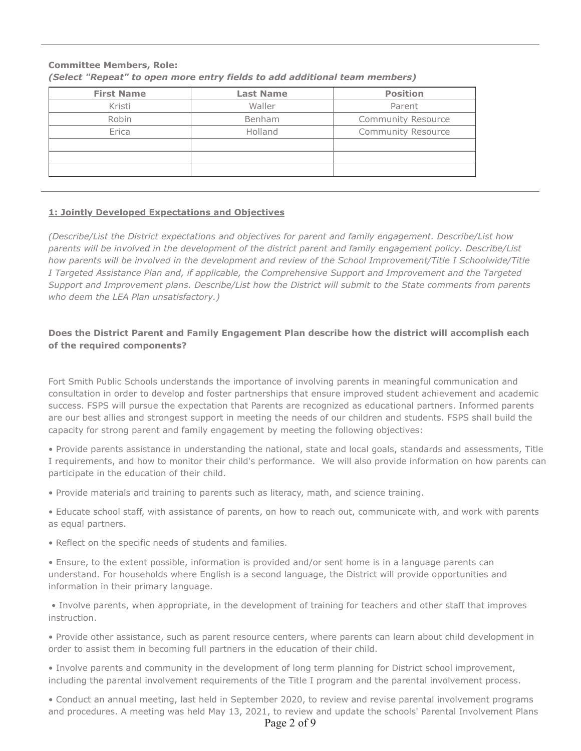| <b>First Name</b> | <b>Last Name</b> | <b>Position</b>           |
|-------------------|------------------|---------------------------|
| Kristi            | Waller           | Parent                    |
| Robin             | Benham           | <b>Community Resource</b> |
| Erica             | Holland          | <b>Community Resource</b> |
|                   |                  |                           |
|                   |                  |                           |
|                   |                  |                           |

# **Committee Members, Role:** *(Select "Repeat" to open more entry fields to add additional team members)*

### **1: Jointly Developed Expectations and Objectives**

*(Describe/List the District expectations and objectives for parent and family engagement. Describe/List how parents will be involved in the development of the district parent and family engagement policy. Describe/List how parents will be involved in the development and review of the School Improvement/Title I Schoolwide/Title I Targeted Assistance Plan and, if applicable, the Comprehensive Support and Improvement and the Targeted Support and Improvement plans. Describe/List how the District will submit to the State comments from parents who deem the LEA Plan unsatisfactory.)*

### **Does the District Parent and Family Engagement Plan describe how the district will accomplish each of the required components?**

Fort Smith Public Schools understands the importance of involving parents in meaningful communication and consultation in order to develop and foster partnerships that ensure improved student achievement and academic success. FSPS will pursue the expectation that Parents are recognized as educational partners. Informed parents are our best allies and strongest support in meeting the needs of our children and students. FSPS shall build the capacity for strong parent and family engagement by meeting the following objectives:

• Provide parents assistance in understanding the national, state and local goals, standards and assessments, Title I requirements, and how to monitor their child's performance. We will also provide information on how parents can participate in the education of their child.

• Provide materials and training to parents such as literacy, math, and science training.

• Educate school staff, with assistance of parents, on how to reach out, communicate with, and work with parents as equal partners.

• Reflect on the specific needs of students and families.

• Ensure, to the extent possible, information is provided and/or sent home is in a language parents can understand. For households where English is a second language, the District will provide opportunities and information in their primary language.

 • Involve parents, when appropriate, in the development of training for teachers and other staff that improves instruction.

• Provide other assistance, such as parent resource centers, where parents can learn about child development in order to assist them in becoming full partners in the education of their child.

• Involve parents and community in the development of long term planning for District school improvement, including the parental involvement requirements of the Title I program and the parental involvement process.

• Conduct an annual meeting, last held in September 2020, to review and revise parental involvement programs and procedures. A meeting was held May 13, 2021, to review and update the schools' Parental Involvement Plans

Page 2 of 9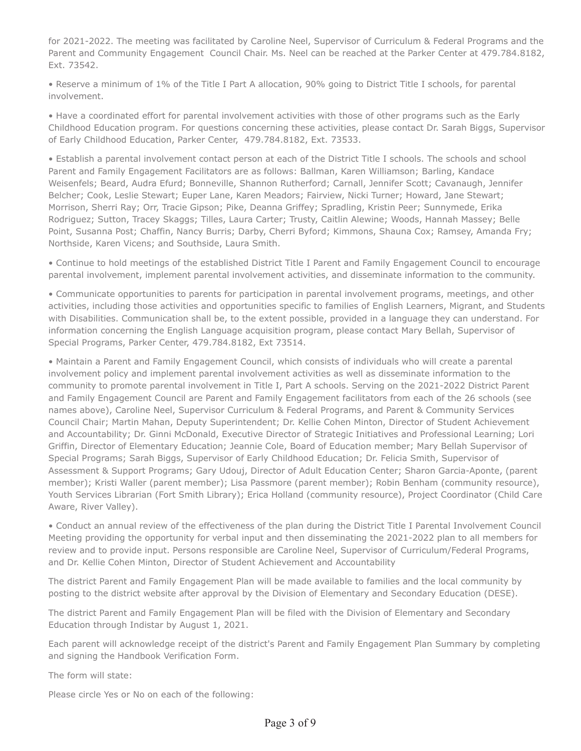for 2021-2022. The meeting was facilitated by Caroline Neel, Supervisor of Curriculum & Federal Programs and the Parent and Community Engagement Council Chair. Ms. Neel can be reached at the Parker Center at 479.784.8182, Ext. 73542.

• Reserve a minimum of 1% of the Title I Part A allocation, 90% going to District Title I schools, for parental involvement.

• Have a coordinated effort for parental involvement activities with those of other programs such as the Early Childhood Education program. For questions concerning these activities, please contact Dr. Sarah Biggs, Supervisor of Early Childhood Education, Parker Center, 479.784.8182, Ext. 73533.

• Establish a parental involvement contact person at each of the District Title I schools. The schools and school Parent and Family Engagement Facilitators are as follows: Ballman, Karen Williamson; Barling, Kandace Weisenfels; Beard, Audra Efurd; Bonneville, Shannon Rutherford; Carnall, Jennifer Scott; Cavanaugh, Jennifer Belcher; Cook, Leslie Stewart; Euper Lane, Karen Meadors; Fairview, Nicki Turner; Howard, Jane Stewart; Morrison, Sherri Ray; Orr, Tracie Gipson; Pike, Deanna Griffey; Spradling, Kristin Peer; Sunnymede, Erika Rodriguez; Sutton, Tracey Skaggs; Tilles, Laura Carter; Trusty, Caitlin Alewine; Woods, Hannah Massey; Belle Point, Susanna Post; Chaffin, Nancy Burris; Darby, Cherri Byford; Kimmons, Shauna Cox; Ramsey, Amanda Fry; Northside, Karen Vicens; and Southside, Laura Smith.

• Continue to hold meetings of the established District Title I Parent and Family Engagement Council to encourage parental involvement, implement parental involvement activities, and disseminate information to the community.

• Communicate opportunities to parents for participation in parental involvement programs, meetings, and other activities, including those activities and opportunities specific to families of English Learners, Migrant, and Students with Disabilities. Communication shall be, to the extent possible, provided in a language they can understand. For information concerning the English Language acquisition program, please contact Mary Bellah, Supervisor of Special Programs, Parker Center, 479.784.8182, Ext 73514.

• Maintain a Parent and Family Engagement Council, which consists of individuals who will create a parental involvement policy and implement parental involvement activities as well as disseminate information to the community to promote parental involvement in Title I, Part A schools. Serving on the 2021-2022 District Parent and Family Engagement Council are Parent and Family Engagement facilitators from each of the 26 schools (see names above), Caroline Neel, Supervisor Curriculum & Federal Programs, and Parent & Community Services Council Chair; Martin Mahan, Deputy Superintendent; Dr. Kellie Cohen Minton, Director of Student Achievement and Accountability; Dr. Ginni McDonald, Executive Director of Strategic Initiatives and Professional Learning; Lori Griffin, Director of Elementary Education; Jeannie Cole, Board of Education member; Mary Bellah Supervisor of Special Programs; Sarah Biggs, Supervisor of Early Childhood Education; Dr. Felicia Smith, Supervisor of Assessment & Support Programs; Gary Udouj, Director of Adult Education Center; Sharon Garcia-Aponte, (parent member); Kristi Waller (parent member); Lisa Passmore (parent member); Robin Benham (community resource), Youth Services Librarian (Fort Smith Library); Erica Holland (community resource), Project Coordinator (Child Care Aware, River Valley).

• Conduct an annual review of the effectiveness of the plan during the District Title I Parental Involvement Council Meeting providing the opportunity for verbal input and then disseminating the 2021-2022 plan to all members for review and to provide input. Persons responsible are Caroline Neel, Supervisor of Curriculum/Federal Programs, and Dr. Kellie Cohen Minton, Director of Student Achievement and Accountability

The district Parent and Family Engagement Plan will be made available to families and the local community by posting to the district website after approval by the Division of Elementary and Secondary Education (DESE).

The district Parent and Family Engagement Plan will be filed with the Division of Elementary and Secondary Education through Indistar by August 1, 2021.

Each parent will acknowledge receipt of the district's Parent and Family Engagement Plan Summary by completing and signing the Handbook Verification Form.

The form will state:

Please circle Yes or No on each of the following: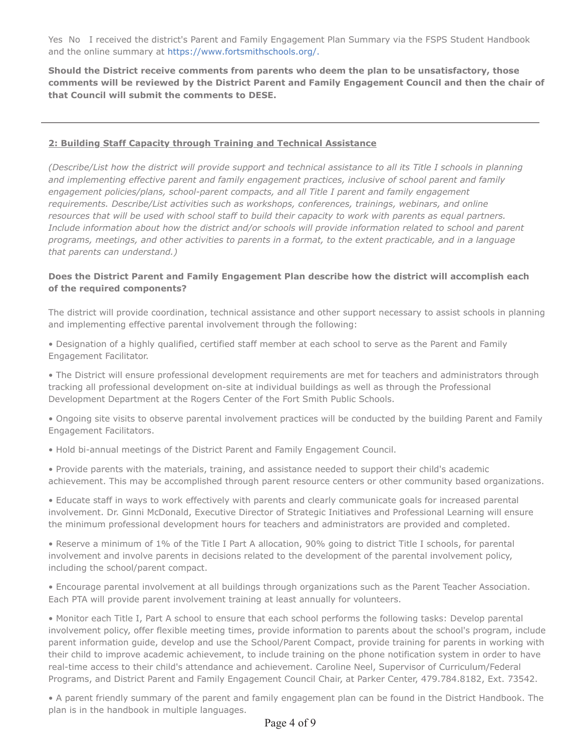Yes No I received the district's Parent and Family Engagement Plan Summary via the FSPS Student Handbook and the online summary at https://www.fortsmithschools.org/.

**Should the District receive comments from parents who deem the plan to be unsatisfactory, those comments will be reviewed by the District Parent and Family Engagement Council and then the chair of that Council will submit the comments to DESE.** 

# **2: Building Staff Capacity through Training and Technical Assistance**

*(Describe/List how the district will provide support and technical assistance to all its Title I schools in planning and implementing effective parent and family engagement practices, inclusive of school parent and family engagement policies/plans, school-parent compacts, and all Title I parent and family engagement requirements. Describe/List activities such as workshops, conferences, trainings, webinars, and online* resources that will be used with school staff to build their capacity to work with parents as equal partners. *Include information about how the district and/or schools will provide information related to school and parent programs, meetings, and other activities to parents in a format, to the extent practicable, and in a language that parents can understand.)*

## **Does the District Parent and Family Engagement Plan describe how the district will accomplish each of the required components?**

The district will provide coordination, technical assistance and other support necessary to assist schools in planning and implementing effective parental involvement through the following:

• Designation of a highly qualified, certified staff member at each school to serve as the Parent and Family Engagement Facilitator.

• The District will ensure professional development requirements are met for teachers and administrators through tracking all professional development on-site at individual buildings as well as through the Professional Development Department at the Rogers Center of the Fort Smith Public Schools.

• Ongoing site visits to observe parental involvement practices will be conducted by the building Parent and Family Engagement Facilitators.

• Hold bi-annual meetings of the District Parent and Family Engagement Council.

• Provide parents with the materials, training, and assistance needed to support their child's academic achievement. This may be accomplished through parent resource centers or other community based organizations.

• Educate staff in ways to work effectively with parents and clearly communicate goals for increased parental involvement. Dr. Ginni McDonald, Executive Director of Strategic Initiatives and Professional Learning will ensure the minimum professional development hours for teachers and administrators are provided and completed.

• Reserve a minimum of 1% of the Title I Part A allocation, 90% going to district Title I schools, for parental involvement and involve parents in decisions related to the development of the parental involvement policy, including the school/parent compact.

• Encourage parental involvement at all buildings through organizations such as the Parent Teacher Association. Each PTA will provide parent involvement training at least annually for volunteers.

• Monitor each Title I, Part A school to ensure that each school performs the following tasks: Develop parental involvement policy, offer flexible meeting times, provide information to parents about the school's program, include parent information guide, develop and use the School/Parent Compact, provide training for parents in working with their child to improve academic achievement, to include training on the phone notification system in order to have real-time access to their child's attendance and achievement. Caroline Neel, Supervisor of Curriculum/Federal Programs, and District Parent and Family Engagement Council Chair, at Parker Center, 479.784.8182, Ext. 73542.

• A parent friendly summary of the parent and family engagement plan can be found in the District Handbook. The plan is in the handbook in multiple languages.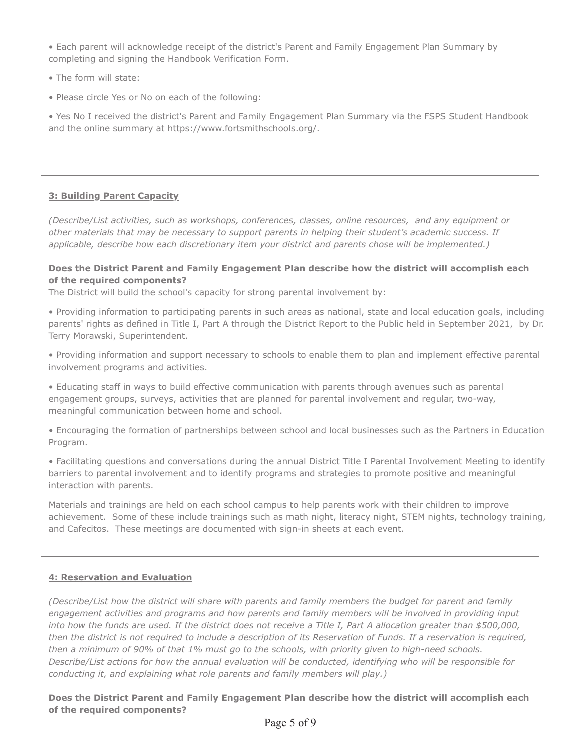• Each parent will acknowledge receipt of the district's Parent and Family Engagement Plan Summary by completing and signing the Handbook Verification Form.

- The form will state:
- Please circle Yes or No on each of the following:

• Yes No I received the district's Parent and Family Engagement Plan Summary via the FSPS Student Handbook and the online summary at https://www.fortsmithschools.org/.

### **3: Building Parent Capacity**

*(Describe/List activities, such as workshops, conferences, classes, online resources, and any equipment or other materials that may be necessary to support parents in helping their student's academic success. If applicable, describe how each discretionary item your district and parents chose will be implemented.)*

## **Does the District Parent and Family Engagement Plan describe how the district will accomplish each of the required components?**

The District will build the school's capacity for strong parental involvement by:

• Providing information to participating parents in such areas as national, state and local education goals, including parents' rights as defined in Title I, Part A through the District Report to the Public held in September 2021, by Dr. Terry Morawski, Superintendent.

• Providing information and support necessary to schools to enable them to plan and implement effective parental involvement programs and activities.

• Educating staff in ways to build effective communication with parents through avenues such as parental engagement groups, surveys, activities that are planned for parental involvement and regular, two-way, meaningful communication between home and school.

• Encouraging the formation of partnerships between school and local businesses such as the Partners in Education Program.

• Facilitating questions and conversations during the annual District Title I Parental Involvement Meeting to identify barriers to parental involvement and to identify programs and strategies to promote positive and meaningful interaction with parents.

Materials and trainings are held on each school campus to help parents work with their children to improve achievement. Some of these include trainings such as math night, literacy night, STEM nights, technology training, and Cafecitos. These meetings are documented with sign-in sheets at each event.

#### **4: Reservation and Evaluation**

*(Describe/List how the district will share with parents and family members the budget for parent and family engagement activities and programs and how parents and family members will be involved in providing input into how the funds are used. If the district does not receive a Title I, Part A allocation greater than \$500,000, then the district is not required to include a description of its Reservation of Funds. If a reservation is required, then a minimum of 90% of that 1% must go to the schools, with priority given to high-need schools. Describe/List actions for how the annual evaluation will be conducted, identifying who will be responsible for conducting it, and explaining what role parents and family members will play.)*

## **Does the District Parent and Family Engagement Plan describe how the district will accomplish each of the required components?**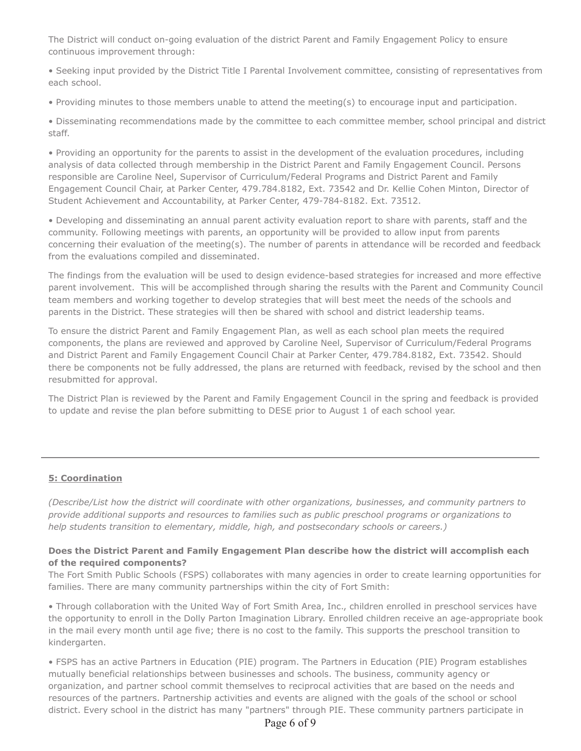The District will conduct on-going evaluation of the district Parent and Family Engagement Policy to ensure continuous improvement through:

• Seeking input provided by the District Title I Parental Involvement committee, consisting of representatives from each school.

• Providing minutes to those members unable to attend the meeting(s) to encourage input and participation.

• Disseminating recommendations made by the committee to each committee member, school principal and district staff.

• Providing an opportunity for the parents to assist in the development of the evaluation procedures, including analysis of data collected through membership in the District Parent and Family Engagement Council. Persons responsible are Caroline Neel, Supervisor of Curriculum/Federal Programs and District Parent and Family Engagement Council Chair, at Parker Center, 479.784.8182, Ext. 73542 and Dr. Kellie Cohen Minton, Director of Student Achievement and Accountability, at Parker Center, 479-784-8182. Ext. 73512.

• Developing and disseminating an annual parent activity evaluation report to share with parents, staff and the community. Following meetings with parents, an opportunity will be provided to allow input from parents concerning their evaluation of the meeting(s). The number of parents in attendance will be recorded and feedback from the evaluations compiled and disseminated.

The findings from the evaluation will be used to design evidence-based strategies for increased and more effective parent involvement. This will be accomplished through sharing the results with the Parent and Community Council team members and working together to develop strategies that will best meet the needs of the schools and parents in the District. These strategies will then be shared with school and district leadership teams.

To ensure the district Parent and Family Engagement Plan, as well as each school plan meets the required components, the plans are reviewed and approved by Caroline Neel, Supervisor of Curriculum/Federal Programs and District Parent and Family Engagement Council Chair at Parker Center, 479.784.8182, Ext. 73542. Should there be components not be fully addressed, the plans are returned with feedback, revised by the school and then resubmitted for approval.

The District Plan is reviewed by the Parent and Family Engagement Council in the spring and feedback is provided to update and revise the plan before submitting to DESE prior to August 1 of each school year.

## **5: Coordination**

*(Describe/List how the district will coordinate with other organizations, businesses, and community partners to provide additional supports and resources to families such as public preschool programs or organizations to help students transition to elementary, middle, high, and postsecondary schools or careers.)*

## **Does the District Parent and Family Engagement Plan describe how the district will accomplish each of the required components?**

The Fort Smith Public Schools (FSPS) collaborates with many agencies in order to create learning opportunities for families. There are many community partnerships within the city of Fort Smith:

• Through collaboration with the United Way of Fort Smith Area, Inc., children enrolled in preschool services have the opportunity to enroll in the Dolly Parton Imagination Library. Enrolled children receive an age-appropriate book in the mail every month until age five; there is no cost to the family. This supports the preschool transition to kindergarten.

• FSPS has an active Partners in Education (PIE) program. The Partners in Education (PIE) Program establishes mutually beneficial relationships between businesses and schools. The business, community agency or organization, and partner school commit themselves to reciprocal activities that are based on the needs and resources of the partners. Partnership activities and events are aligned with the goals of the school or school district. Every school in the district has many "partners" through PIE. These community partners participate in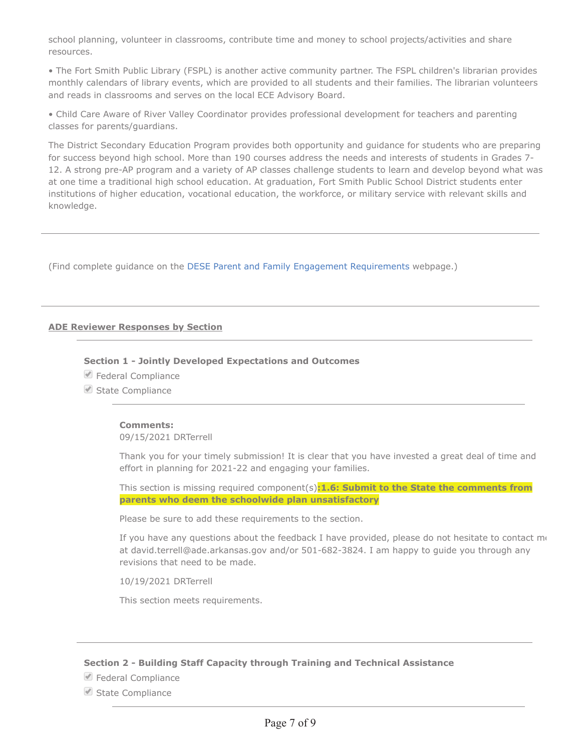school planning, volunteer in classrooms, contribute time and money to school projects/activities and share resources.

• The Fort Smith Public Library (FSPL) is another active community partner. The FSPL children's librarian provides monthly calendars of library events, which are provided to all students and their families. The librarian volunteers and reads in classrooms and serves on the local ECE Advisory Board.

• Child Care Aware of River Valley Coordinator provides professional development for teachers and parenting classes for parents/guardians.

The District Secondary Education Program provides both opportunity and guidance for students who are preparing for success beyond high school. More than 190 courses address the needs and interests of students in Grades 7- 12. A strong pre-AP program and a variety of AP classes challenge students to learn and develop beyond what was at one time a traditional high school education. At graduation, Fort Smith Public School District students enter institutions of higher education, vocational education, the workforce, or military service with relevant skills and knowledge.

(Find complete guidance on the DESE Parent and Family Engagement Requirements webpage.)

### **ADE Reviewer Responses by Section**

#### **Section 1 - Jointly Developed Expectations and Outcomes**

- Federal Compliance
- State Compliance

#### **Comments:**

09/15/2021 DRTerrell

Thank you for your timely submission! It is clear that you have invested a great deal of time and effort in planning for 2021-22 and engaging your families.

This section is missing required component(s)**:1.6: Submit to the State the comments from parents who deem the schoolwide plan unsatisfactory**

Please be sure to add these requirements to the section.

If you have any questions about the feedback I have provided, please do not hesitate to contact  $m\epsilon$ at david.terrell@ade.arkansas.gov and/or 501-682-3824. I am happy to guide you through any revisions that need to be made.

10/19/2021 DRTerrell

This section meets requirements.

#### **Section 2 - Building Staff Capacity through Training and Technical Assistance**

● Federal Compliance

State Compliance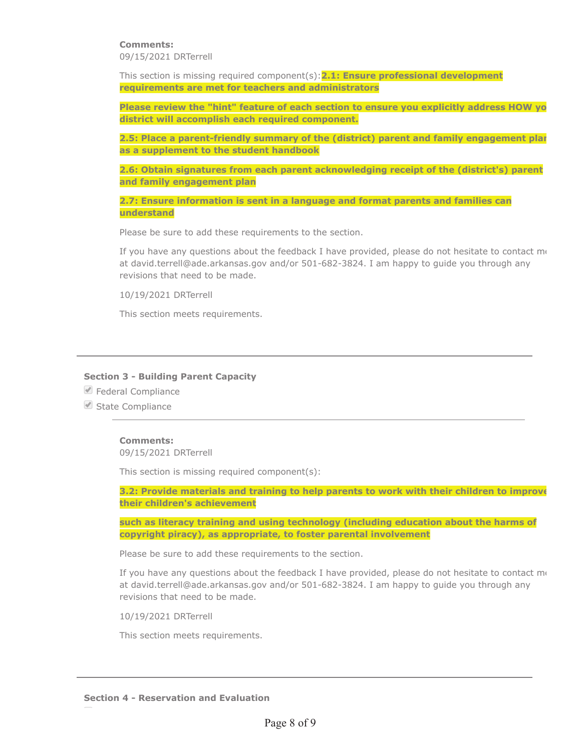## **Comments:**

09/15/2021 DRTerrell

This section is missing required component(s):**2.1: Ensure professional development requirements are met for teachers and administrators**

**Please review the "hint" feature of each section to ensure you explicitly address HOW yo district will accomplish each required component.**

**2.5: Place a parent-friendly summary of the (district) parent and family engagement plan as a supplement to the student handbook**

**2.6: Obtain signatures from each parent acknowledging receipt of the (district's) parent and family engagement plan**

**2.7: Ensure information is sent in a language and format parents and families can understand**

Please be sure to add these requirements to the section.

If you have any questions about the feedback I have provided, please do not hesitate to contact  $m_{\rm f}$ at david.terrell@ade.arkansas.gov and/or 501-682-3824. I am happy to guide you through any revisions that need to be made.

10/19/2021 DRTerrell

This section meets requirements.

#### **Section 3 - Building Parent Capacity**

- └ Federal Compliance
- State Compliance

#### **Comments:**

09/15/2021 DRTerrell

This section is missing required component(s):

**3.2: Provide materials and training to help parents to work with their children to improve their children's achievement**

**such as literacy training and using technology (including education about the harms of copyright piracy), as appropriate, to foster parental involvement**

Please be sure to add these requirements to the section.

If you have any questions about the feedback I have provided, please do not hesitate to contact  $m_{\rm f}$ at david.terrell@ade.arkansas.gov and/or 501-682-3824. I am happy to guide you through any revisions that need to be made.

10/19/2021 DRTerrell

This section meets requirements.

**Section 4 - Reservation and Evaluation**